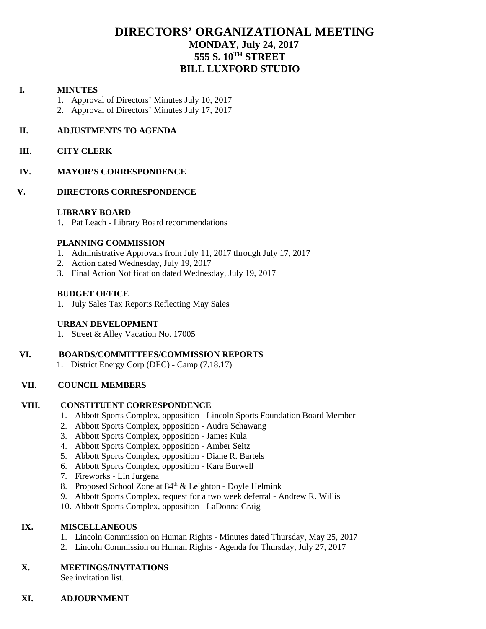# **DIRECTORS' ORGANIZATIONAL MEETING MONDAY, July 24, 2017 555 S. 10TH STREET BILL LUXFORD STUDIO**

#### **I. MINUTES**

- 1. Approval of Directors' Minutes July 10, 2017
- 2. Approval of Directors' Minutes July 17, 2017

#### **II. ADJUSTMENTS TO AGENDA**

#### **III. CITY CLERK**

#### **IV. MAYOR'S CORRESPONDENCE**

#### **V. DIRECTORS CORRESPONDENCE**

#### **LIBRARY BOARD**

1. Pat Leach - Library Board recommendations

#### **PLANNING COMMISSION**

- 1. Administrative Approvals from July 11, 2017 through July 17, 2017
- 2. Action dated Wednesday, July 19, 2017
- 3. Final Action Notification dated Wednesday, July 19, 2017

#### **BUDGET OFFICE**

1. July Sales Tax Reports Reflecting May Sales

#### **URBAN DEVELOPMENT**

1. Street & Alley Vacation No. 17005

# **VI. BOARDS/COMMITTEES/COMMISSION REPORTS**

1. District Energy Corp (DEC) - Camp (7.18.17)

# **VII. COUNCIL MEMBERS**

#### **VIII. CONSTITUENT CORRESPONDENCE**

- 1. Abbott Sports Complex, opposition Lincoln Sports Foundation Board Member
- 2. Abbott Sports Complex, opposition Audra Schawang
- 3. Abbott Sports Complex, opposition James Kula
- 4. Abbott Sports Complex, opposition Amber Seitz
- 5. Abbott Sports Complex, opposition Diane R. Bartels
- 6. Abbott Sports Complex, opposition Kara Burwell
- 7. Fireworks Lin Jurgena
- 8. Proposed School Zone at  $84<sup>th</sup>$  & Leighton Doyle Helmink
- 9. Abbott Sports Complex, request for a two week deferral Andrew R. Willis
- 10. Abbott Sports Complex, opposition LaDonna Craig

# IX. **MISCELLANEOUS**

- 1. Lincoln Commission on Human Rights Minutes dated Thursday, May 25, 2017
- 2. Lincoln Commission on Human Rights Agenda for Thursday, July 27, 2017

#### **X. MEETINGS/INVITATIONS**

See invitation list.

# **XI. ADJOURNMENT**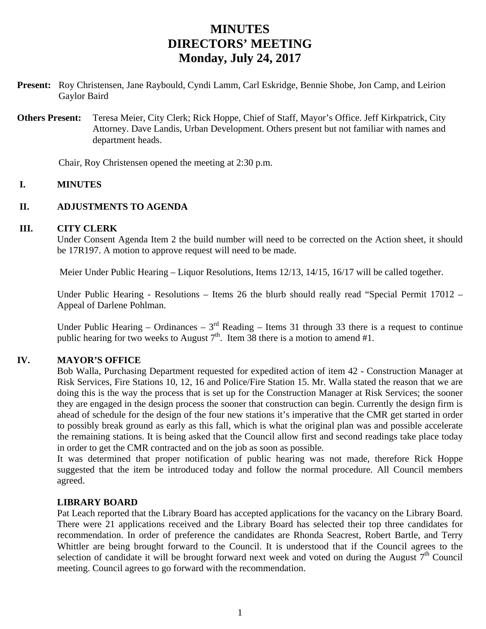# **MINUTES DIRECTORS' MEETING Monday, July 24, 2017**

- **Present:** Roy Christensen, Jane Raybould, Cyndi Lamm, Carl Eskridge, Bennie Shobe, Jon Camp, and Leirion Gaylor Baird
- **Others Present:** Teresa Meier, City Clerk; Rick Hoppe, Chief of Staff, Mayor's Office. Jeff Kirkpatrick, City Attorney. Dave Landis, Urban Development. Others present but not familiar with names and department heads.

Chair, Roy Christensen opened the meeting at 2:30 p.m.

# **I. MINUTES**

# **II. ADJUSTMENTS TO AGENDA**

#### **III. CITY CLERK**

Under Consent Agenda Item 2 the build number will need to be corrected on the Action sheet, it should be 17R197. A motion to approve request will need to be made.

Meier Under Public Hearing – Liquor Resolutions, Items 12/13, 14/15, 16/17 will be called together.

Under Public Hearing - Resolutions – Items 26 the blurb should really read "Special Permit 17012 – Appeal of Darlene Pohlman.

Under Public Hearing – Ordinances –  $3<sup>rd</sup>$  Reading – Items 31 through 33 there is a request to continue public hearing for two weeks to August  $7<sup>th</sup>$ . Item 38 there is a motion to amend #1.

# **IV. MAYOR'S OFFICE**

Bob Walla, Purchasing Department requested for expedited action of item 42 - Construction Manager at Risk Services, Fire Stations 10, 12, 16 and Police/Fire Station 15. Mr. Walla stated the reason that we are doing this is the way the process that is set up for the Construction Manager at Risk Services; the sooner they are engaged in the design process the sooner that construction can begin. Currently the design firm is ahead of schedule for the design of the four new stations it's imperative that the CMR get started in order to possibly break ground as early as this fall, which is what the original plan was and possible accelerate the remaining stations. It is being asked that the Council allow first and second readings take place today in order to get the CMR contracted and on the job as soon as possible.

It was determined that proper notification of public hearing was not made, therefore Rick Hoppe suggested that the item be introduced today and follow the normal procedure. All Council members agreed.

# **LIBRARY BOARD**

Pat Leach reported that the Library Board has accepted applications for the vacancy on the Library Board. There were 21 applications received and the Library Board has selected their top three candidates for recommendation. In order of preference the candidates are Rhonda Seacrest, Robert Bartle, and Terry Whittler are being brought forward to the Council. It is understood that if the Council agrees to the selection of candidate it will be brought forward next week and voted on during the August 7<sup>th</sup> Council meeting. Council agrees to go forward with the recommendation.